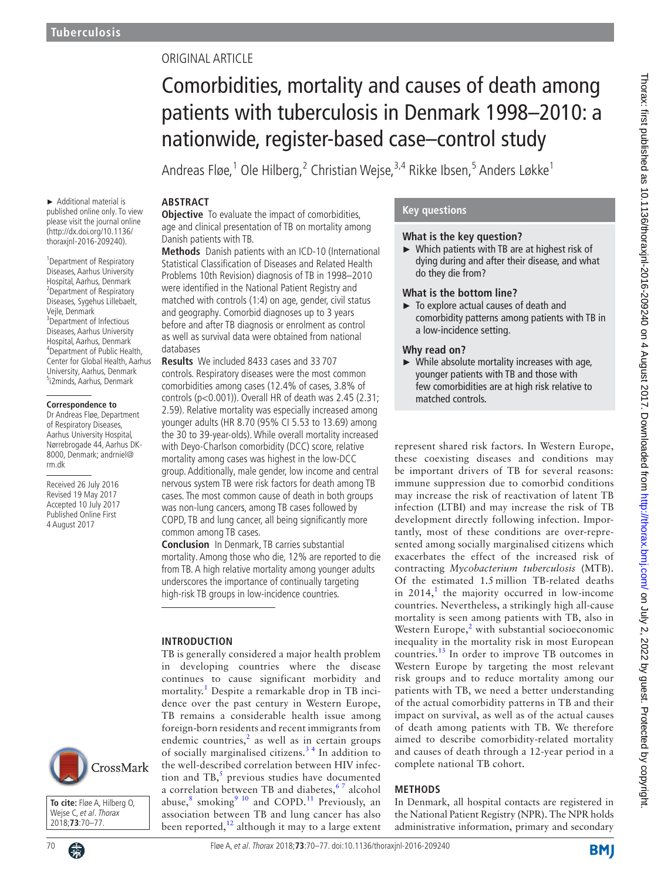► Additional material is published online only. To view please visit the journal online (http://dx.doi.org/10.1136/ thoraxjnl-2016-209240). <sup>1</sup> Department of Respiratory Diseases, Aarhus University Hospital, Aarhus, Denmark 2 Department of Respiratory Diseases, Sygehus Lillebaelt,

Vejle, Denmark <sup>3</sup>Department of Infectious Diseases, Aarhus University Hospital, Aarhus, Denmark 4 Department of Public Health, Center for Global Health, Aarhus University, Aarhus, Denmark <sup>5</sup>i2minds, Aarhus, Denmark

**Correspondence to** Dr Andreas Fløe, Department of Respiratory Diseases, Aarhus University Hospital, Nørrebrogade 44, Aarhus DK-8000, Denmark; andrniel@

Received 26 July 2016 Revised 19 May 2017 Accepted 10 July 2017 Published Online First 4 August 2017

rm.dk

# ORIGINAL ARTICLE

# Comorbidities, mortality and causes of death among patients with tuberculosis in Denmark 1998–2010: a nationwide, register-based case–control study

Andreas Fløe, <sup>1</sup> Ole Hilberg, <sup>2</sup> Christian Wejse, <sup>3,4</sup> Rikke Ibsen, <sup>5</sup> Anders Løkke <sup>1</sup>

# **Abstract**

**Objective** To evaluate the impact of comorbidities, age and clinical presentation of TB on mortality among Danish patients with TB.

**Methods** Danish patients with an ICD-10 (International Statistical Classification of Diseases and Related Health Problems 10th Revision) diagnosis of TB in 1998–2010 were identified in the National Patient Registry and matched with controls (1:4) on age, gender, civil status and geography. Comorbid diagnoses up to 3 years before and after TB diagnosis or enrolment as control as well as survival data were obtained from national databases

**Results** We included 8433 cases and 33 707 controls. Respiratory diseases were the most common comorbidities among cases (12.4% of cases, 3.8% of controls (p<0.001)). Overall HR of death was 2.45 (2.31; 2.59). Relative mortality was especially increased among younger adults (HR 8.70 (95% CI 5.53 to 13.69) among the 30 to 39-year-olds). While overall mortality increased with Deyo-Charlson comorbidity (DCC) score, relative mortality among cases was highest in the low-DCC group. Additionally, male gender, low income and central nervous system TB were risk factors for death among TB cases. The most common cause of death in both groups was non-lung cancers, among TB cases followed by COPD, TB and lung cancer, all being significantly more common among TB cases.

**Conclusion** In Denmark, TB carries substantial mortality. Among those who die, 12% are reported to die from TB. A high relative mortality among younger adults underscores the importance of continually targeting high-risk TB groups in low-incidence countries.

TB is generally considered a major health problem in developing countries where the disease continues to cause significant morbidity and mortality.[1](#page-7-0) Despite a remarkable drop in TB incidence over the past century in Western Europe, TB remains a considerable health issue among

abuse, $^8$  $^8$  smoking $^9$  <sup>10</sup> and COPD.<sup>11</sup> Previously, an association between TB and lung cancer has also been reported, $12$  although it may to a large extent

#### **Introduction**

foreign-born residents and recent immigrants from endemic countries,<sup>[2](#page-7-1)</sup> as well as in certain groups of socially marginalised citizens.<sup>34</sup> In addition to the well-described correlation between HIV infec-CrossMark tion and TB, $<sup>5</sup>$  $<sup>5</sup>$  $<sup>5</sup>$  previous studies have documented</sup> a correlation between TB and diabetes,  $67$  alcohol

**To cite:** Fløe A, Hilberg O, Wejse C, et al. Thorax 2018;**73**:70–77.



## **Key questions**

#### **What is the key question?**

► Which patients with TB are at highest risk of dying during and after their disease, and what do they die from?

#### **What is the bottom line?**

► To explore actual causes of death and comorbidity patterns among patients with TB in a low-incidence setting.

#### **Why read on?**

► While absolute mortality increases with age, younger patients with TB and those with few comorbidities are at high risk relative to matched controls.

represent shared risk factors. In Western Europe, these coexisting diseases and conditions may be important drivers of TB for several reasons: immune suppression due to comorbid conditions may increase the risk of reactivation of latent TB infection (LTBI) and may increase the risk of TB development directly following infection. Importantly, most of these conditions are over-represented among socially marginalised citizens which exacerbates the effect of the increased risk of contracting *Mycobacterium tuberculosis* (MTB). Of the estimated 1.5 million TB-related deaths in  $2014$  $2014$  $2014$ ,<sup>1</sup> the majority occurred in low-income countries. Nevertheless, a strikingly high all-cause mortality is seen among patients with TB, also in Western Europe, $2$  with substantial socioeconomic inequality in the mortality risk in most European countries.[13](#page-7-9) In order to improve TB outcomes in Western Europe by targeting the most relevant risk groups and to reduce mortality among our patients with TB, we need a better understanding of the actual comorbidity patterns in TB and their impact on survival, as well as of the actual causes of death among patients with TB. We therefore aimed to describe comorbidity-related mortality and causes of death through a 12-year period in a complete national TB cohort.

## **Methods**

In Denmark, all hospital contacts are registered in the National Patient Registry (NPR). The NPR holds administrative information, primary and secondary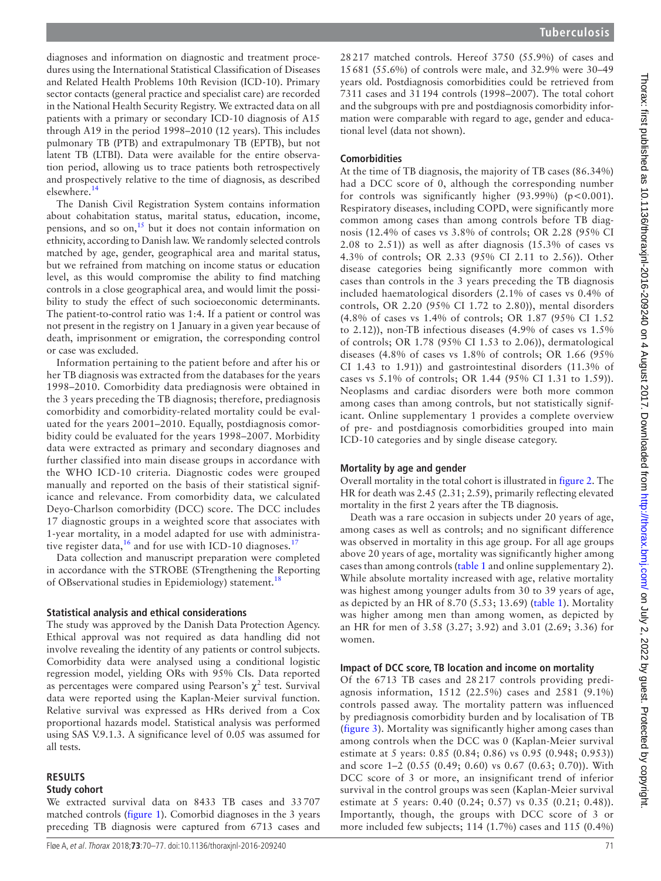diagnoses and information on diagnostic and treatment procedures using the International Statistical Classification of Diseases and Related Health Problems 10th Revision (ICD-10). Primary sector contacts (general practice and specialist care) are recorded in the National Health Security Registry. We extracted data on all patients with a primary or secondary ICD-10 diagnosis of A15 through A19 in the period 1998–2010 (12 years). This includes pulmonary TB (PTB) and extrapulmonary TB (EPTB), but not latent TB (LTBI). Data were available for the entire observation period, allowing us to trace patients both retrospectively and prospectively relative to the time of diagnosis, as described elsewhere[.14](#page-7-10)

The Danish Civil Registration System contains information about cohabitation status, marital status, education, income, pensions, and so on,<sup>[15](#page-7-11)</sup> but it does not contain information on ethnicity, according to Danish law. We randomly selected controls matched by age, gender, geographical area and marital status, but we refrained from matching on income status or education level, as this would compromise the ability to find matching controls in a close geographical area, and would limit the possibility to study the effect of such socioeconomic determinants. The patient-to-control ratio was 1:4. If a patient or control was not present in the registry on 1 January in a given year because of death, imprisonment or emigration, the corresponding control or case was excluded.

Information pertaining to the patient before and after his or her TB diagnosis was extracted from the databases for the years 1998–2010. Comorbidity data prediagnosis were obtained in the 3 years preceding the TB diagnosis; therefore, prediagnosis comorbidity and comorbidity-related mortality could be evaluated for the years 2001–2010. Equally, postdiagnosis comorbidity could be evaluated for the years 1998–2007. Morbidity data were extracted as primary and secondary diagnoses and further classified into main disease groups in accordance with the WHO ICD-10 criteria. Diagnostic codes were grouped manually and reported on the basis of their statistical significance and relevance. From comorbidity data, we calculated Deyo-Charlson comorbidity (DCC) score. The DCC includes 17 diagnostic groups in a weighted score that associates with 1-year mortality, in a model adapted for use with administrative register data,  $^{16}$  and for use with ICD-10 diagnoses.<sup>17</sup>

Data collection and manuscript preparation were completed in accordance with the STROBE (STrengthening the Reporting of OBservational studies in Epidemiology) statement.<sup>18</sup>

#### **Statistical analysis and ethical considerations**

The study was approved by the Danish Data Protection Agency. Ethical approval was not required as data handling did not involve revealing the identity of any patients or control subjects. Comorbidity data were analysed using a conditional logistic regression model, yielding ORs with 95% CIs. Data reported as percentages were compared using Pearson's  $\chi^2$  test. Survival data were reported using the Kaplan-Meier survival function. Relative survival was expressed as HRs derived from a Cox proportional hazards model. Statistical analysis was performed using SAS V.9.1.3. A significance level of 0.05 was assumed for all tests.

# **Results**

## **Study cohort**

We extracted survival data on 8433 TB cases and 33707 matched controls ([figure](#page-2-0) 1). Comorbid diagnoses in the 3 years preceding TB diagnosis were captured from 6713 cases and

28217 matched controls. Hereof 3750 (55.9%) of cases and 15681 (55.6%) of controls were male, and 32.9% were 30–49 years old. Postdiagnosis comorbidities could be retrieved from 7311 cases and 31194 controls (1998–2007). The total cohort and the subgroups with pre and postdiagnosis comorbidity information were comparable with regard to age, gender and educational level (data not shown).

## **Comorbidities**

At the time of TB diagnosis, the majority of TB cases (86.34%) had a DCC score of 0, although the corresponding number for controls was significantly higher  $(93.99\%)$  (p<0.001). Respiratory diseases, including COPD, were significantly more common among cases than among controls before TB diagnosis (12.4% of cases vs 3.8% of controls; OR 2.28 (95% CI 2.08 to 2.51)) as well as after diagnosis (15.3% of cases vs 4.3% of controls; OR 2.33 (95% CI 2.11 to 2.56)). Other disease categories being significantly more common with cases than controls in the 3 years preceding the TB diagnosis included haematological disorders (2.1% of cases vs 0.4% of controls, OR 2.20 (95% CI 1.72 to 2.80)), mental disorders (4.8% of cases vs 1.4% of controls; OR 1.87 (95% CI 1.52 to 2.12)), non-TB infectious diseases (4.9% of cases vs 1.5% of controls; OR 1.78 (95% CI 1.53 to 2.06)), dermatological diseases (4.8% of cases vs 1.8% of controls; OR 1.66 (95% CI 1.43 to 1.91)) and gastrointestinal disorders (11.3% of cases vs 5.1% of controls; OR 1.44 (95% CI 1.31 to 1.59)). Neoplasms and cardiac disorders were both more common among cases than among controls, but not statistically significant. Online [supplementary 1](https://dx.doi.org/10.1136/thoraxjnl-2016-209240) provides a complete overview of pre- and postdiagnosis comorbidities grouped into main ICD-10 categories and by single disease category.

# **Mortality by age and gender**

Overall mortality in the total cohort is illustrated in [figure](#page-3-0) 2. The HR for death was 2.45 (2.31; 2.59), primarily reflecting elevated mortality in the first 2 years after the TB diagnosis.

Death was a rare occasion in subjects under 20 years of age, among cases as well as controls; and no significant difference was observed in mortality in this age group. For all age groups above 20 years of age, mortality was significantly higher among cases than among controls ([table](#page-4-0) 1 and online [supplementary 2\)](https://dx.doi.org/10.1136/thoraxjnl-2016-209240). While absolute mortality increased with age, relative mortality was highest among younger adults from 30 to 39 years of age, as depicted by an HR of 8.70 (5.53; 13.69) [\(table](#page-4-0) 1). Mortality was higher among men than among women, as depicted by an HR for men of 3.58 (3.27; 3.92) and 3.01 (2.69; 3.36) for women.

# **Impact of DCC score, TB location and income on mortality**

Of the 6713 TB cases and 28 217 controls providing prediagnosis information, 1512 (22.5%) cases and 2581 (9.1%) controls passed away. The mortality pattern was influenced by prediagnosis comorbidity burden and by localisation of TB ([figure](#page-5-0) 3). Mortality was significantly higher among cases than among controls when the DCC was 0 (Kaplan-Meier survival estimate at 5 years: 0.85 (0.84; 0.86) vs 0.95 (0.948; 0.953)) and score 1–2 (0.55 (0.49; 0.60) vs 0.67 (0.63; 0.70)). With DCC score of 3 or more, an insignificant trend of inferior survival in the control groups was seen (Kaplan-Meier survival estimate at 5 years: 0.40 (0.24; 0.57) vs 0.35 (0.21; 0.48)). Importantly, though, the groups with DCC score of 3 or more included few subjects; 114 (1.7%) cases and 115 (0.4%)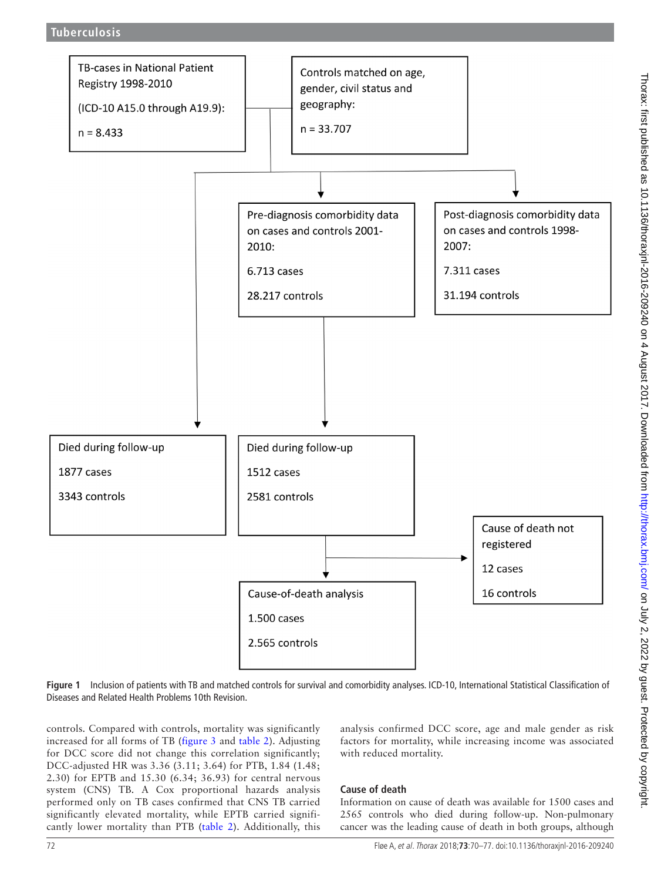

<span id="page-2-0"></span>**Figure 1** Inclusion of patients with TB and matched controls for survival and comorbidity analyses. ICD-10, International Statistical Classification of Diseases and Related Health Problems 10th Revision.

controls. Compared with controls, mortality was significantly increased for all forms of TB ([figure](#page-5-0) 3 and [table](#page-6-0) 2). Adjusting for DCC score did not change this correlation significantly; DCC-adjusted HR was 3.36 (3.11; 3.64) for PTB, 1.84 (1.48; 2.30) for EPTB and 15.30 (6.34; 36.93) for central nervous system (CNS) TB. A Cox proportional hazards analysis performed only on TB cases confirmed that CNS TB carried significantly elevated mortality, while EPTB carried significantly lower mortality than PTB ([table](#page-6-0) 2). Additionally, this analysis confirmed DCC score, age and male gender as risk factors for mortality, while increasing income was associated with reduced mortality.

# **Cause of death**

Information on cause of death was available for 1500 cases and 2565 controls who died during follow-up. Non-pulmonary cancer was the leading cause of death in both groups, although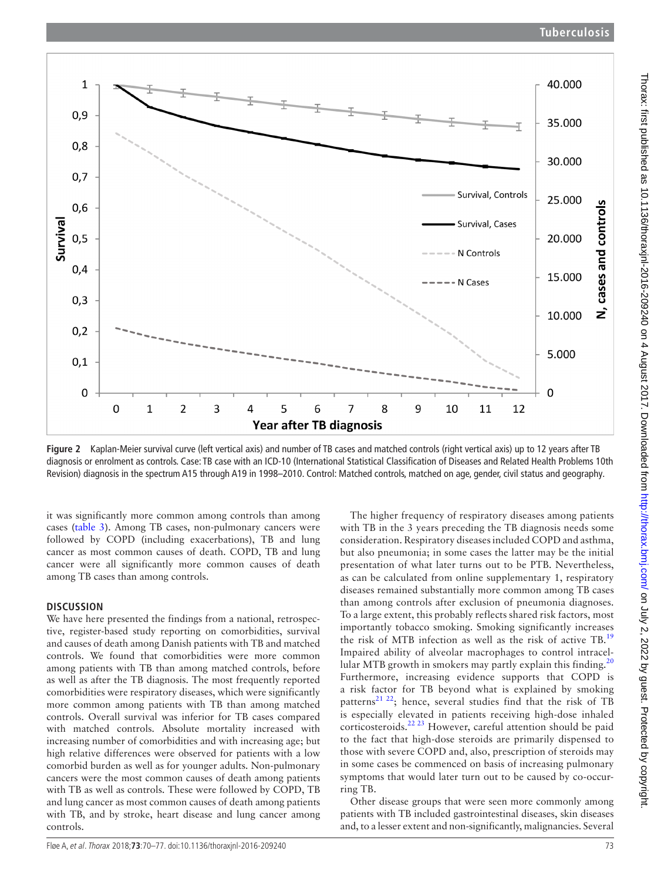

<span id="page-3-0"></span>**Figure 2** Kaplan-Meier survival curve (left vertical axis) and number of TB cases and matched controls (right vertical axis) up to 12 years after TB diagnosis or enrolment as controls. Case: TB case with an ICD-10 (International Statistical Classification of Diseases and Related Health Problems 10th Revision) diagnosis in the spectrum A15 through A19 in 1998–2010. Control: Matched controls, matched on age, gender, civil status and geography.

it was significantly more common among controls than among cases [\(table](#page-6-1) 3). Among TB cases, non-pulmonary cancers were followed by COPD (including exacerbations), TB and lung cancer as most common causes of death. COPD, TB and lung cancer were all significantly more common causes of death among TB cases than among controls.

## **Discussion**

We have here presented the findings from a national, retrospective, register-based study reporting on comorbidities, survival and causes of death among Danish patients with TB and matched controls. We found that comorbidities were more common among patients with TB than among matched controls, before as well as after the TB diagnosis. The most frequently reported comorbidities were respiratory diseases, which were significantly more common among patients with TB than among matched controls. Overall survival was inferior for TB cases compared with matched controls. Absolute mortality increased with increasing number of comorbidities and with increasing age; but high relative differences were observed for patients with a low comorbid burden as well as for younger adults. Non-pulmonary cancers were the most common causes of death among patients with TB as well as controls. These were followed by COPD, TB and lung cancer as most common causes of death among patients with TB, and by stroke, heart disease and lung cancer among controls.

The higher frequency of respiratory diseases among patients with TB in the 3 years preceding the TB diagnosis needs some consideration. Respiratory diseases included COPD and asthma, but also pneumonia; in some cases the latter may be the initial presentation of what later turns out to be PTB. Nevertheless, as can be calculated from online [supplementary 1,](https://dx.doi.org/10.1136/thoraxjnl-2016-209240) respiratory diseases remained substantially more common among TB cases than among controls after exclusion of pneumonia diagnoses. To a large extent, this probably reflects shared risk factors, most importantly tobacco smoking. Smoking significantly increases the risk of MTB infection as well as the risk of active TB.[19](#page-7-15) Impaired ability of alveolar macrophages to control intracellular MTB growth in smokers may partly explain this finding. $^{20}$  $^{20}$  $^{20}$ Furthermore, increasing evidence supports that COPD is a risk factor for TB beyond what is explained by smoking patterns<sup>21 22</sup>; hence, several studies find that the risk of TB is especially elevated in patients receiving high-dose inhaled corticosteroids.[22 23](#page-7-18) However, careful attention should be paid to the fact that high-dose steroids are primarily dispensed to those with severe COPD and, also, prescription of steroids may in some cases be commenced on basis of increasing pulmonary symptoms that would later turn out to be caused by co-occurring TB.

Other disease groups that were seen more commonly among patients with TB included gastrointestinal diseases, skin diseases and, to a lesser extent and non-significantly, malignancies. Several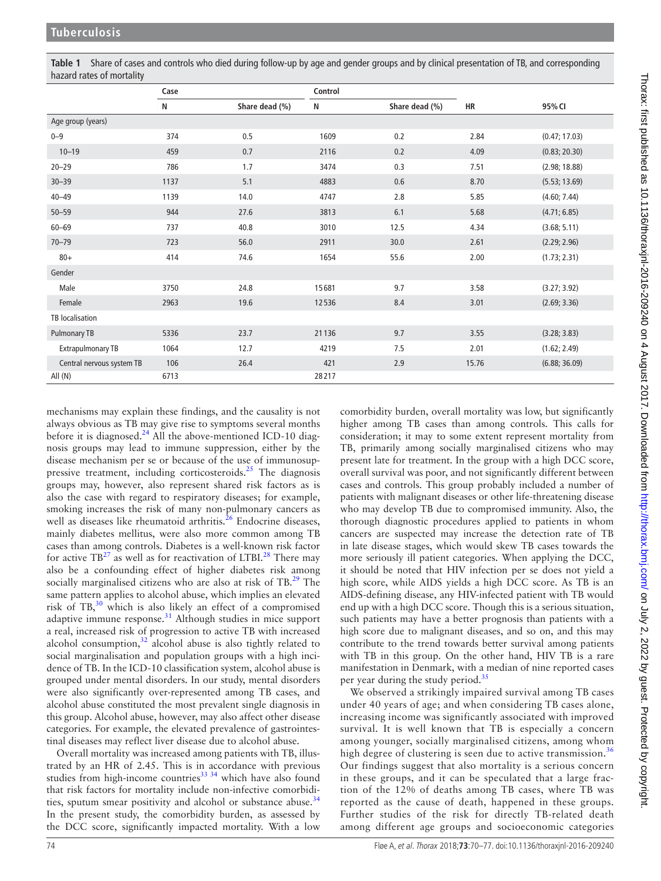<span id="page-4-0"></span>**Table 1** Share of cases and controls who died during follow-up by age and gender groups and by clinical presentation of TB, and corresponding hazard rates of mortality

|                           | Case |                | Control |                |       |               |
|---------------------------|------|----------------|---------|----------------|-------|---------------|
|                           | N    | Share dead (%) | N       | Share dead (%) | HR    | 95% CI        |
| Age group (years)         |      |                |         |                |       |               |
| $0 - 9$                   | 374  | 0.5            | 1609    | 0.2            | 2.84  | (0.47; 17.03) |
| $10 - 19$                 | 459  | 0.7            | 2116    | 0.2            | 4.09  | (0.83; 20.30) |
| $20 - 29$                 | 786  | 1.7            | 3474    | 0.3            | 7.51  | (2.98; 18.88) |
| $30 - 39$                 | 1137 | 5.1            | 4883    | 0.6            | 8.70  | (5.53; 13.69) |
| $40 - 49$                 | 1139 | 14.0           | 4747    | 2.8            | 5.85  | (4.60; 7.44)  |
| $50 - 59$                 | 944  | 27.6           | 3813    | 6.1            | 5.68  | (4.71; 6.85)  |
| $60 - 69$                 | 737  | 40.8           | 3010    | 12.5           | 4.34  | (3.68; 5.11)  |
| $70 - 79$                 | 723  | 56.0           | 2911    | 30.0           | 2.61  | (2.29; 2.96)  |
| $80+$                     | 414  | 74.6           | 1654    | 55.6           | 2.00  | (1.73; 2.31)  |
| Gender                    |      |                |         |                |       |               |
| Male                      | 3750 | 24.8           | 15681   | 9.7            | 3.58  | (3.27; 3.92)  |
| Female                    | 2963 | 19.6           | 12536   | 8.4            | 3.01  | (2.69; 3.36)  |
| TB localisation           |      |                |         |                |       |               |
| Pulmonary TB              | 5336 | 23.7           | 21136   | 9.7            | 3.55  | (3.28; 3.83)  |
| <b>Extrapulmonary TB</b>  | 1064 | 12.7           | 4219    | 7.5            | 2.01  | (1.62; 2.49)  |
| Central nervous system TB | 106  | 26.4           | 421     | 2.9            | 15.76 | (6.88; 36.09) |
| All(N)                    | 6713 |                | 28217   |                |       |               |

mechanisms may explain these findings, and the causality is not always obvious as TB may give rise to symptoms several months before it is diagnosed. $^{24}$  All the above-mentioned ICD-10 diagnosis groups may lead to immune suppression, either by the disease mechanism per se or because of the use of immunosup-pressive treatment, including corticosteroids.<sup>[25](#page-7-20)</sup> The diagnosis groups may, however, also represent shared risk factors as is also the case with regard to respiratory diseases; for example, smoking increases the risk of many non-pulmonary cancers as well as diseases like rheumatoid arthritis.<sup>26</sup> Endocrine diseases, mainly diabetes mellitus, were also more common among TB cases than among controls. Diabetes is a well-known risk factor for active  $TB^{27}$  as well as for reactivation of LTBI.<sup>28</sup> There may also be a confounding effect of higher diabetes risk among socially marginalised citizens who are also at risk of TB.<sup>[29](#page-7-24)</sup> The same pattern applies to alcohol abuse, which implies an elevated risk of  $TB<sub>1</sub><sup>30</sup>$  which is also likely an effect of a compromised adaptive immune response.<sup>[31](#page-7-26)</sup> Although studies in mice support a real, increased risk of progression to active TB with increased alcohol consumption, $32$  alcohol abuse is also tightly related to social marginalisation and population groups with a high incidence of TB. In the ICD-10 classification system, alcohol abuse is grouped under mental disorders. In our study, mental disorders were also significantly over-represented among TB cases, and alcohol abuse constituted the most prevalent single diagnosis in this group. Alcohol abuse, however, may also affect other disease categories. For example, the elevated prevalence of gastrointestinal diseases may reflect liver disease due to alcohol abuse.

Overall mortality was increased among patients with TB, illustrated by an HR of 2.45. This is in accordance with previous studies from high-income countries<sup>[33 34](#page-7-28)</sup> which have also found that risk factors for mortality include non-infective comorbidi-ties, sputum smear positivity and alcohol or substance abuse.<sup>[34](#page-7-29)</sup> In the present study, the comorbidity burden, as assessed by the DCC score, significantly impacted mortality. With a low

comorbidity burden, overall mortality was low, but significantly higher among TB cases than among controls. This calls for consideration; it may to some extent represent mortality from TB, primarily among socially marginalised citizens who may present late for treatment. In the group with a high DCC score, overall survival was poor, and not significantly different between cases and controls. This group probably included a number of patients with malignant diseases or other life-threatening disease who may develop TB due to compromised immunity. Also, the thorough diagnostic procedures applied to patients in whom cancers are suspected may increase the detection rate of TB in late disease stages, which would skew TB cases towards the more seriously ill patient categories. When applying the DCC, it should be noted that HIV infection per se does not yield a high score, while AIDS yields a high DCC score. As TB is an AIDS-defining disease, any HIV-infected patient with TB would end up with a high DCC score. Though this is a serious situation, such patients may have a better prognosis than patients with a high score due to malignant diseases, and so on, and this may contribute to the trend towards better survival among patients with TB in this group. On the other hand, HIV TB is a rare manifestation in Denmark, with a median of nine reported cases per year during the study period.<sup>[35](#page-7-30)</sup>

We observed a strikingly impaired survival among TB cases under 40 years of age; and when considering TB cases alone, increasing income was significantly associated with improved survival. It is well known that TB is especially a concern among younger, socially marginalised citizens, among whom high degree of clustering is seen due to active transmission.<sup>[36](#page-7-31)</sup> Our findings suggest that also mortality is a serious concern in these groups, and it can be speculated that a large fraction of the 12% of deaths among TB cases, where TB was reported as the cause of death, happened in these groups. Further studies of the risk for directly TB-related death among different age groups and socioeconomic categories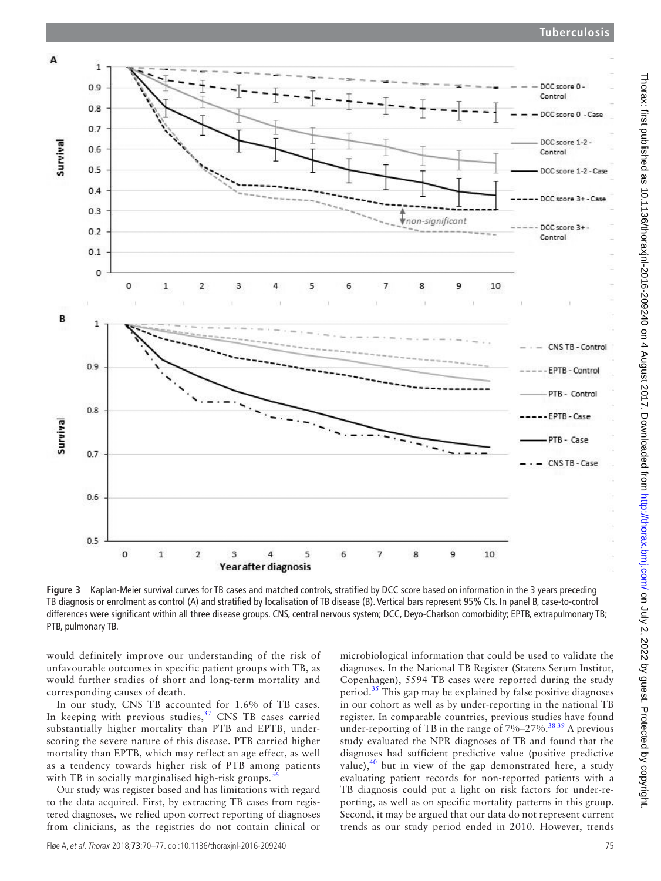# **Tuberculosis**



<span id="page-5-0"></span>**Figure 3** Kaplan-Meier survival curves for TB cases and matched controls, stratified by DCC score based on information in the 3 years preceding TB diagnosis or enrolment as control (A) and stratified by localisation of TB disease (B). Vertical bars represent 95% CIs. In panel B, case-to-control differences were significant within all three disease groups. CNS, central nervous system; DCC, Deyo-Charlson comorbidity; EPTB, extrapulmonary TB; PTB, pulmonary TB.

would definitely improve our understanding of the risk of unfavourable outcomes in specific patient groups with TB, as would further studies of short and long-term mortality and corresponding causes of death.

In our study, CNS TB accounted for 1.6% of TB cases. In keeping with previous studies, $37$  CNS TB cases carried substantially higher mortality than PTB and EPTB, underscoring the severe nature of this disease. PTB carried higher mortality than EPTB, which may reflect an age effect, as well as a tendency towards higher risk of PTB among patients with TB in socially marginalised high-risk groups.<sup>[36](#page-7-31)</sup>

Our study was register based and has limitations with regard to the data acquired. First, by extracting TB cases from registered diagnoses, we relied upon correct reporting of diagnoses from clinicians, as the registries do not contain clinical or

microbiological information that could be used to validate the diagnoses. In the National TB Register (Statens Serum Institut, Copenhagen), 5594 TB cases were reported during the study period. $35$  This gap may be explained by false positive diagnoses in our cohort as well as by under-reporting in the national TB register. In comparable countries, previous studies have found under-reporting of TB in the range of  $7\%-27\%$ .<sup>3839</sup> A previous study evaluated the NPR diagnoses of TB and found that the diagnoses had sufficient predictive value (positive predictive value), $^{40}$  but in view of the gap demonstrated here, a study evaluating patient records for non-reported patients with a TB diagnosis could put a light on risk factors for under-reporting, as well as on specific mortality patterns in this group. Second, it may be argued that our data do not represent current trends as our study period ended in 2010. However, trends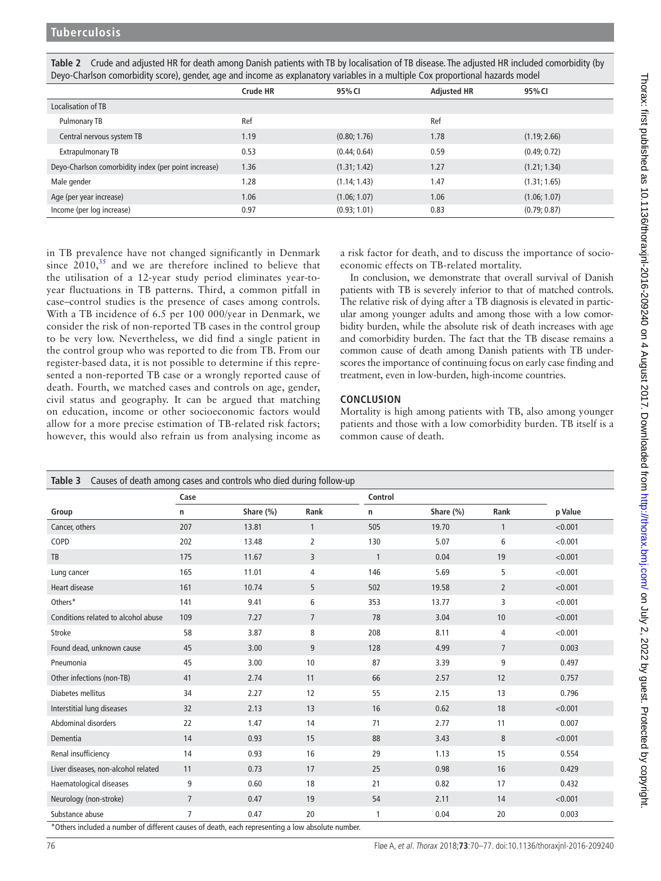|                                                      | Crude HR | 95% CI       | <b>Adjusted HR</b> | 95% CI       |
|------------------------------------------------------|----------|--------------|--------------------|--------------|
| Localisation of TB                                   |          |              |                    |              |
| Pulmonary TB                                         | Ref      |              | Ref                |              |
| Central nervous system TB                            | 1.19     | (0.80; 1.76) | 1.78               | (1.19; 2.66) |
| <b>Extrapulmonary TB</b>                             | 0.53     | (0.44; 0.64) | 0.59               | (0.49; 0.72) |
| Deyo-Charlson comorbidity index (per point increase) | 1.36     | (1.31; 1.42) | 1.27               | (1.21; 1.34) |
| Male gender                                          | 1.28     | (1.14; 1.43) | 1.47               | (1.31; 1.65) |
| Age (per year increase)                              | 1.06     | (1.06; 1.07) | 1.06               | (1.06; 1.07) |
| Income (per log increase)                            | 0.97     | (0.93; 1.01) | 0.83               | (0.79; 0.87) |

<span id="page-6-0"></span>**Table 2** Crude and adjusted HR for death among Danish patients with TB by localisation of TB disease. The adjusted HR included comorbidity (by Deyo-Charlson comorbidity score), gender, age and income as explanatory variables in a multiple Cox proportional hazards model

in TB prevalence have not changed significantly in Denmark since  $2010$ ,<sup>35</sup> and we are therefore inclined to believe that the utilisation of a 12-year study period eliminates year-toyear fluctuations in TB patterns. Third, a common pitfall in case–control studies is the presence of cases among controls. With a TB incidence of 6.5 per 100 000/year in Denmark, we consider the risk of non-reported TB cases in the control group to be very low. Nevertheless, we did find a single patient in the control group who was reported to die from TB. From our register-based data, it is not possible to determine if this represented a non-reported TB case or a wrongly reported cause of death. Fourth, we matched cases and controls on age, gender, civil status and geography. It can be argued that matching on education, income or other socioeconomic factors would allow for a more precise estimation of TB-related risk factors; however, this would also refrain us from analysing income as

a risk factor for death, and to discuss the importance of socioeconomic effects on TB-related mortality.

In conclusion, we demonstrate that overall survival of Danish patients with TB is severely inferior to that of matched controls. The relative risk of dying after a TB diagnosis is elevated in particular among younger adults and among those with a low comorbidity burden, while the absolute risk of death increases with age and comorbidity burden. The fact that the TB disease remains a common cause of death among Danish patients with TB underscores the importance of continuing focus on early case finding and treatment, even in low-burden, high-income countries.

## **Conclusion**

Mortality is high among patients with TB, also among younger patients and those with a low comorbidity burden. TB itself is a common cause of death.

<span id="page-6-1"></span>

| Causes of death among cases and controls who died during follow-up<br>Table 3                    |                |           |                |              |           |                |         |
|--------------------------------------------------------------------------------------------------|----------------|-----------|----------------|--------------|-----------|----------------|---------|
|                                                                                                  | Case           |           |                | Control      |           |                |         |
| Group                                                                                            | n              | Share (%) | Rank           | n            | Share (%) | Rank           | p Value |
| Cancer, others                                                                                   | 207            | 13.81     | 1              | 505          | 19.70     | 1              | < 0.001 |
| COPD                                                                                             | 202            | 13.48     | $\overline{2}$ | 130          | 5.07      | 6              | < 0.001 |
| TB                                                                                               | 175            | 11.67     | 3              | $\mathbf{1}$ | 0.04      | 19             | < 0.001 |
| Lung cancer                                                                                      | 165            | 11.01     | 4              | 146          | 5.69      | 5              | < 0.001 |
| <b>Heart disease</b>                                                                             | 161            | 10.74     | 5              | 502          | 19.58     | $\overline{2}$ | < 0.001 |
| Others*                                                                                          | 141            | 9.41      | 6              | 353          | 13.77     | 3              | < 0.001 |
| Conditions related to alcohol abuse                                                              | 109            | 7.27      | $\overline{7}$ | 78           | 3.04      | 10             | < 0.001 |
| Stroke                                                                                           | 58             | 3.87      | 8              | 208          | 8.11      | $\overline{4}$ | < 0.001 |
| Found dead, unknown cause                                                                        | 45             | 3.00      | 9              | 128          | 4.99      | $\overline{7}$ | 0.003   |
| Pneumonia                                                                                        | 45             | 3.00      | 10             | 87           | 3.39      | 9              | 0.497   |
| Other infections (non-TB)                                                                        | 41             | 2.74      | 11             | 66           | 2.57      | 12             | 0.757   |
| Diabetes mellitus                                                                                | 34             | 2.27      | 12             | 55           | 2.15      | 13             | 0.796   |
| Interstitial lung diseases                                                                       | 32             | 2.13      | 13             | 16           | 0.62      | 18             | < 0.001 |
| Abdominal disorders                                                                              | 22             | 1.47      | 14             | 71           | 2.77      | 11             | 0.007   |
| Dementia                                                                                         | 14             | 0.93      | 15             | 88           | 3.43      | 8              | < 0.001 |
| Renal insufficiency                                                                              | 14             | 0.93      | 16             | 29           | 1.13      | 15             | 0.554   |
| Liver diseases, non-alcohol related                                                              | 11             | 0.73      | 17             | 25           | 0.98      | 16             | 0.429   |
| Haematological diseases                                                                          | 9              | 0.60      | 18             | 21           | 0.82      | 17             | 0.432   |
| Neurology (non-stroke)                                                                           | $\overline{7}$ | 0.47      | 19             | 54           | 2.11      | 14             | < 0.001 |
| Substance abuse                                                                                  | 7              | 0.47      | 20             | 1            | 0.04      | 20             | 0.003   |
| *Others included a number of different causes of death, each representing a low absolute number. |                |           |                |              |           |                |         |

\*Others included a number of different causes of death, each representing a low absolute number.